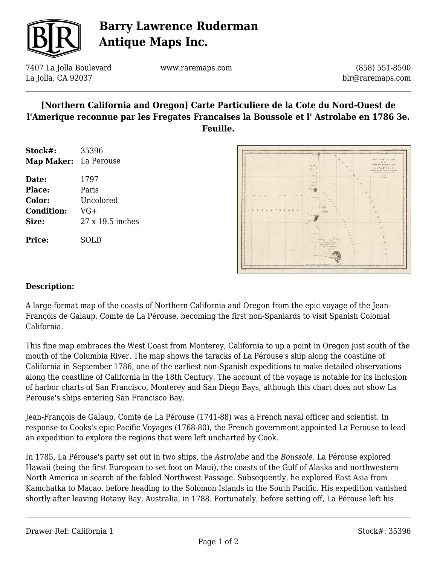

# **Barry Lawrence Ruderman Antique Maps Inc.**

7407 La Jolla Boulevard La Jolla, CA 92037

www.raremaps.com

(858) 551-8500 blr@raremaps.com

### **[Northern California and Oregon] Carte Particuliere de la Cote du Nord-Ouest de l'Amerique reconnue par les Fregates Francaises la Boussole et l' Astrolabe en 1786 3e. Feuille.**

| Stock#:               | 35396            |
|-----------------------|------------------|
| Map Maker: La Perouse |                  |
| Date:                 | 1797             |
| <b>Place:</b>         | Paris            |
| Color:                | Uncolored        |
| <b>Condition:</b>     | VG+              |
| Size:                 | 27 x 19.5 inches |
| <b>Price:</b>         | SOLD             |



#### **Description:**

A large-format map of the coasts of Northern California and Oregon from the epic voyage of the Jean-François de Galaup, Comte de La Pérouse, becoming the first non-Spaniards to visit Spanish Colonial California.

This fine map embraces the West Coast from Monterey, California to up a point in Oregon just south of the mouth of the Columbia River. The map shows the taracks of La Pérouse's ship along the coastline of California in September 1786, one of the earliest non-Spanish expeditions to make detailed observations along the coastline of California in the 18th Century. The account of the voyage is notable for its inclusion of harbor charts of San Francisco, Monterey and San Diego Bays, although this chart does not show La Perouse's ships entering San Francisco Bay.

Jean-François de Galaup, Comte de La Pérouse (1741-88) was a French naval officer and scientist. In response to Cooks's epic Pacific Voyages (1768-80), the French government appointed La Perouse to lead an expedition to explore the regions that were left uncharted by Cook.

In 1785, La Pérouse's party set out in two ships, the *Astrolabe* and the *Boussole*. La Pérouse explored Hawaii (being the first European to set foot on Maui), the coasts of the Gulf of Alaska and northwestern North America in search of the fabled Northwest Passage. Subsequently, he explored East Asia from Kamchatka to Macao, before heading to the Solomon Islands in the South Pacific. His expedition vanished shortly after leaving Botany Bay, Australia, in 1788. Fortunately, before setting off, La Pérouse left his